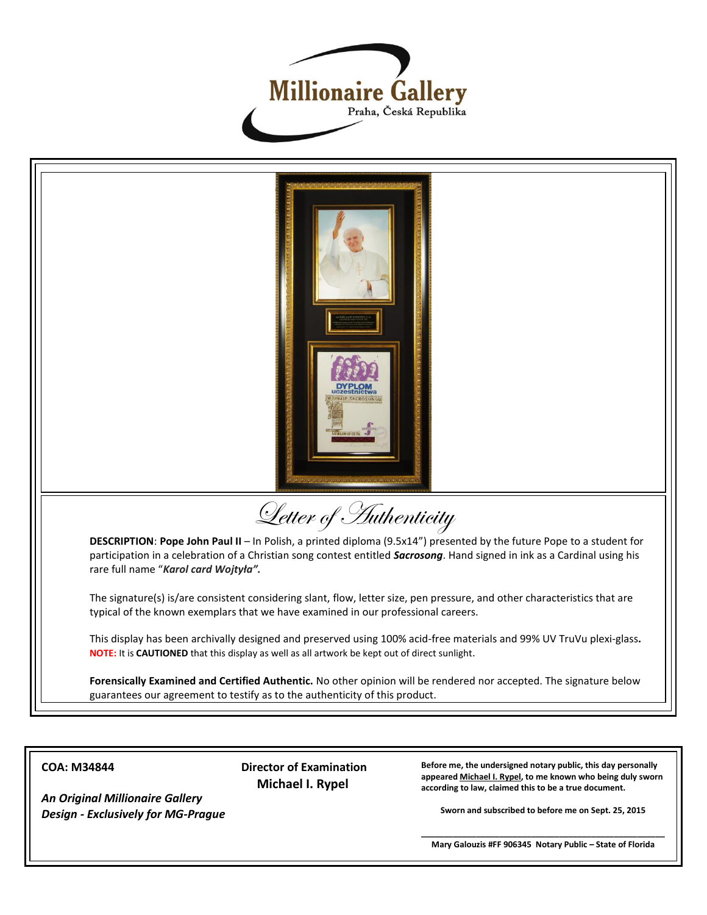



**COA: M34844**

*An Original Millionaire Gallery Design - Exclusively for MG-Prague* **Director of Examination Michael I. Rypel**

**Before me, the undersigned notary public, this day personally appeared Michael I. Rypel, to me known who being duly sworn according to law, claimed this to be a true document.**

**Sworn and subscribed to before me on Sept. 25, 2015**

**\_\_\_\_\_\_\_\_\_\_\_\_\_\_\_\_\_\_\_\_\_\_\_\_\_\_\_\_\_\_\_\_\_\_\_\_\_\_\_\_\_\_\_\_\_\_\_\_\_\_\_\_\_ Mary Galouzis #FF 906345 Notary Public – State of Florida**